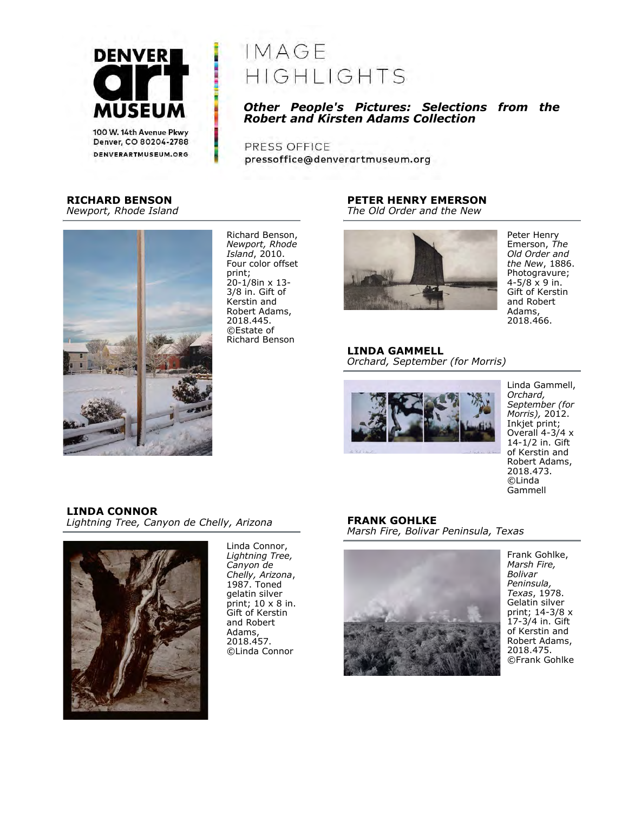

denverartmuseum.org

# IMAGE HIGHLIGHTS

# Other People's Pictures: Selections from the Robert and Kirsten Adams Collection

PRESS OFFICE pressoffice@denverartmuseum.org

## RICHARD BENSON

Newport, Rhode Island



Richard Benson, Newport, Rhode Island, 2010. Four color offset print; 20-1/8in x 13- 3/8 in. Gift of Kerstin and Robert Adams, 2018.445. ©Estate of Richard Benson

## PETER HENRY EMERSON

The Old Order and the New



Peter Henry Emerson, The Old Order and the New, 1886. Photogravure;  $4 - 5/8 \times 9$  in. Gift of Kerstin and Robert Adams, 2018.466.

# LINDA GAMMELL

Orchard, September (for Morris)



Linda Gammell, Orchard, September (for Morris), 2012. Inkjet print; Overall 4-3/4 x 14-1/2 in. Gift of Kerstin and Robert Adams, 2018.473. ©Linda Gammell

## LINDA CONNOR

Lightning Tree, Canyon de Chelly, Arizona



Linda Connor, Lightning Tree, Canyon de Chelly, Arizona, 1987. Toned gelatin silver print; 10 x 8 in. Gift of Kerstin and Robert Adams, 2018.457. ©Linda Connor

#### FRANK GOHLKE

Marsh Fire, Bolivar Peninsula, Texas



Frank Gohlke, Marsh Fire, Bolivar Peninsula, Texas, 1978. Gelatin silver print; 14-3/8 x 17-3/4 in. Gift of Kerstin and Robert Adams, 2018.475. ©Frank Gohlke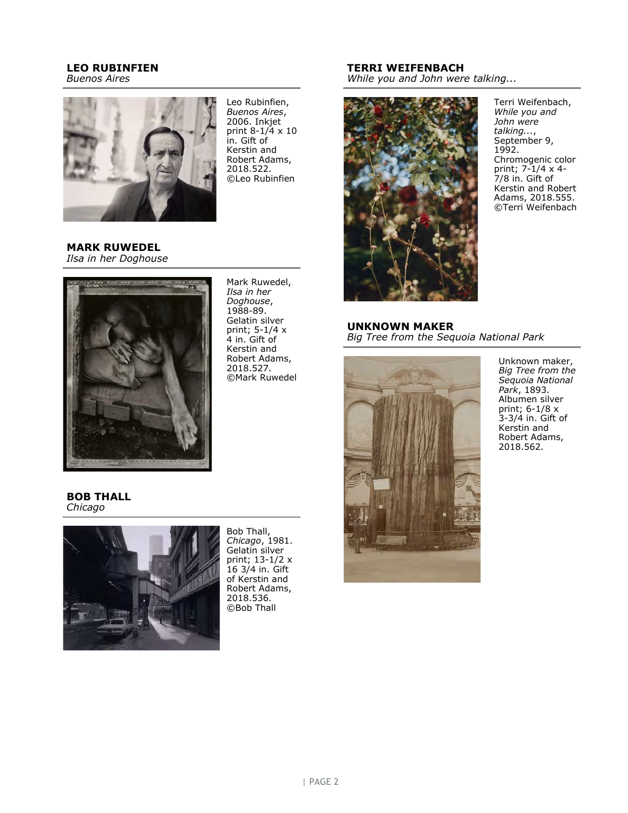# LEO RUBINFIEN

Buenos Aires



Leo Rubinfien, Buenos Aires, 2006. Inkjet print 8-1/4 x 10 in. Gift of Kerstin and Robert Adams, 2018.522. ©Leo Rubinfien

#### MARK RUWEDEL Ilsa in her Doghouse



Mark Ruwedel, Ilsa in her Doghouse, 1988-89. Gelatin silver print; 5-1/4 x 4 in. Gift of Kerstin and Robert Adams, 2018.527. ©Mark Ruwedel

# TERRI WEIFENBACH

While you and John were talking...



Terri Weifenbach, While you and John were talking..., September 9, 1992. Chromogenic color print; 7-1/4 x 4- 7/8 in. Gift of Kerstin and Robert Adams, 2018.555. ©Terri Weifenbach

#### UNKNOWN MAKER Big Tree from the Sequoia National Park



Unknown maker, Big Tree from the Sequoia National Park, 1893. Albumen silver print; 6-1/8 x 3-3/4 in. Gift of Kerstin and Robert Adams, 2018.562.

#### BOB THALL Chicago



Bob Thall, Chicago, 1981. Gelatin silver print; 13-1/2 x 16 3/4 in. Gift of Kerstin and Robert Adams, 2018.536. ©Bob Thall